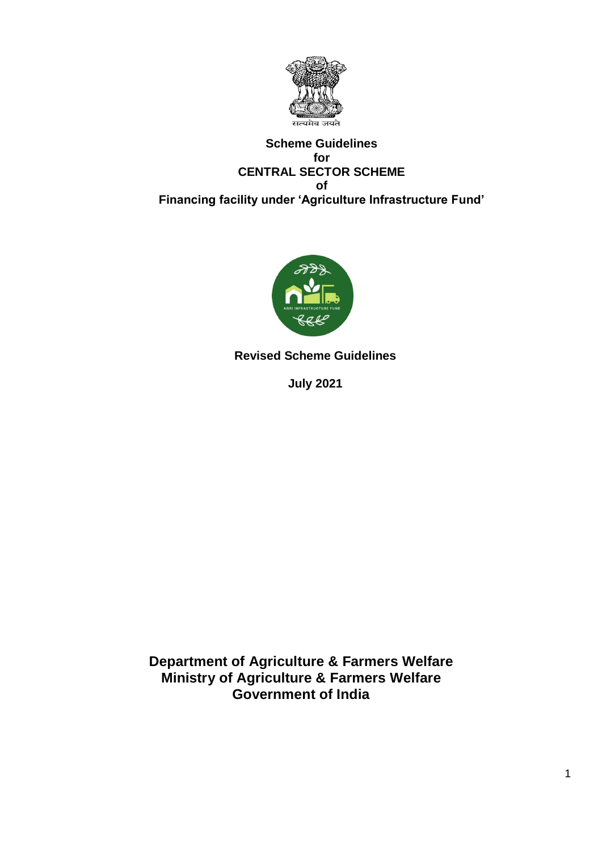

#### **Scheme Guidelines for CENTRAL SECTOR SCHEME of Financing facility under 'Agriculture Infrastructure Fund'**



**Revised Scheme Guidelines**

**July 2021**

**Department of Agriculture & Farmers Welfare Ministry of Agriculture & Farmers Welfare Government of India**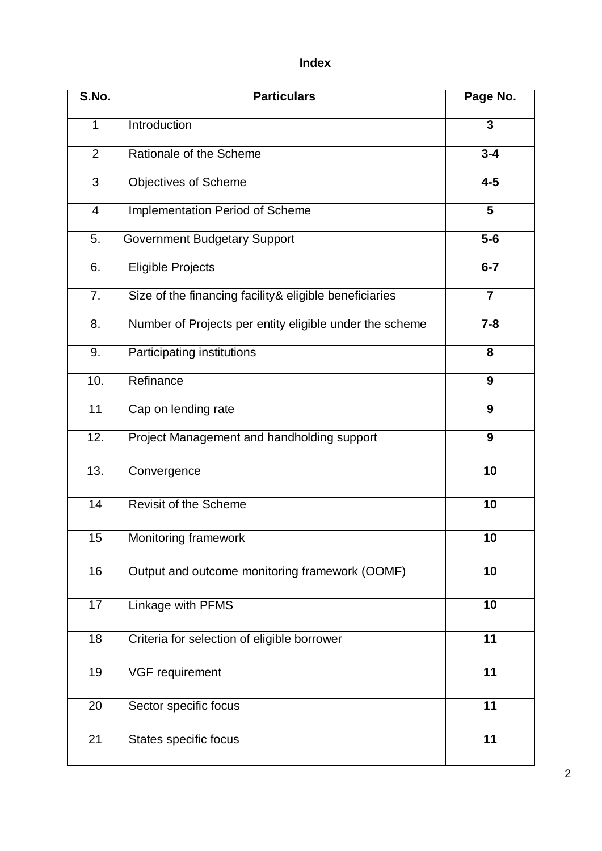# **Index**

| S.No.          | <b>Particulars</b>                                      | Page No.                |
|----------------|---------------------------------------------------------|-------------------------|
| $\mathbf{1}$   | Introduction                                            | 3                       |
| $\overline{2}$ | Rationale of the Scheme                                 | $3 - 4$                 |
| 3              | <b>Objectives of Scheme</b>                             | $4-5$                   |
| $\overline{4}$ | Implementation Period of Scheme                         | $\overline{\mathbf{5}}$ |
| 5.             | <b>Government Budgetary Support</b>                     | $5-6$                   |
| 6.             | <b>Eligible Projects</b>                                | $6 - 7$                 |
| 7.             | Size of the financing facility & eligible beneficiaries | $\overline{7}$          |
| 8.             | Number of Projects per entity eligible under the scheme | $7 - 8$                 |
| 9.             | Participating institutions                              | 8                       |
| 10.            | Refinance                                               | 9                       |
| 11             | Cap on lending rate                                     | 9                       |
| 12.            | Project Management and handholding support              | 9                       |
| 13.            | Convergence                                             | 10                      |
| 14             | Revisit of the Scheme                                   | 10                      |
| 15             | Monitoring framework                                    | 10                      |
| 16             | Output and outcome monitoring framework (OOMF)          | 10                      |
| 17             | Linkage with PFMS                                       | 10                      |
| 18             | Criteria for selection of eligible borrower             | 11                      |
| 19             | VGF requirement                                         | 11                      |
| 20             | Sector specific focus                                   | 11                      |
| 21             | States specific focus                                   | 11                      |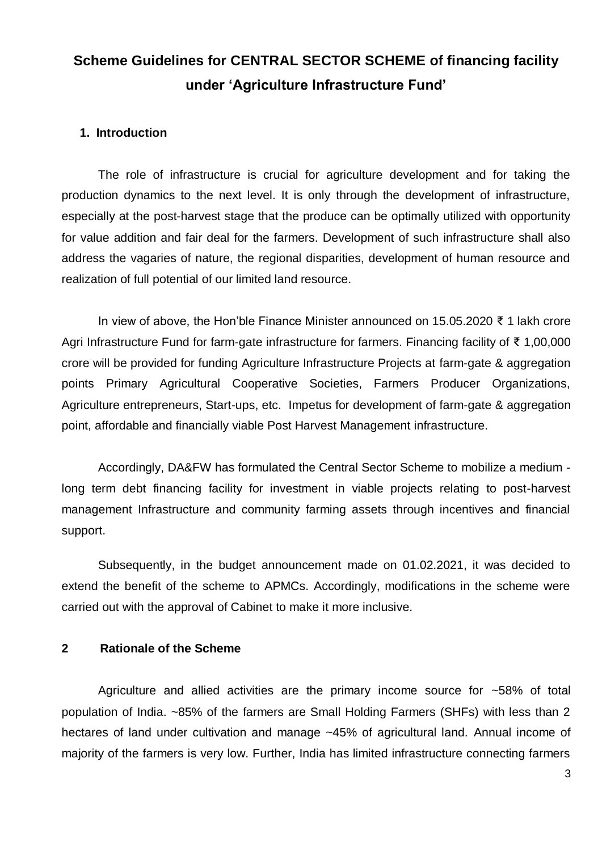# **Scheme Guidelines for CENTRAL SECTOR SCHEME of financing facility under 'Agriculture Infrastructure Fund'**

#### **1. Introduction**

The role of infrastructure is crucial for agriculture development and for taking the production dynamics to the next level. It is only through the development of infrastructure, especially at the post-harvest stage that the produce can be optimally utilized with opportunity for value addition and fair deal for the farmers. Development of such infrastructure shall also address the vagaries of nature, the regional disparities, development of human resource and realization of full potential of our limited land resource.

In view of above, the Hon'ble Finance Minister announced on 15.05.2020 ₹ 1 lakh crore Agri Infrastructure Fund for farm-gate infrastructure for farmers. Financing facility of ₹ 1,00,000 crore will be provided for funding Agriculture Infrastructure Projects at farm-gate & aggregation points Primary Agricultural Cooperative Societies, Farmers Producer Organizations, Agriculture entrepreneurs, Start-ups, etc. Impetus for development of farm-gate & aggregation point, affordable and financially viable Post Harvest Management infrastructure.

Accordingly, DA&FW has formulated the Central Sector Scheme to mobilize a medium long term debt financing facility for investment in viable projects relating to post-harvest management Infrastructure and community farming assets through incentives and financial support.

Subsequently, in the budget announcement made on 01.02.2021, it was decided to extend the benefit of the scheme to APMCs. Accordingly, modifications in the scheme were carried out with the approval of Cabinet to make it more inclusive.

#### **2 Rationale of the Scheme**

Agriculture and allied activities are the primary income source for ~58% of total population of India. ~85% of the farmers are Small Holding Farmers (SHFs) with less than 2 hectares of land under cultivation and manage ~45% of agricultural land. Annual income of majority of the farmers is very low. Further, India has limited infrastructure connecting farmers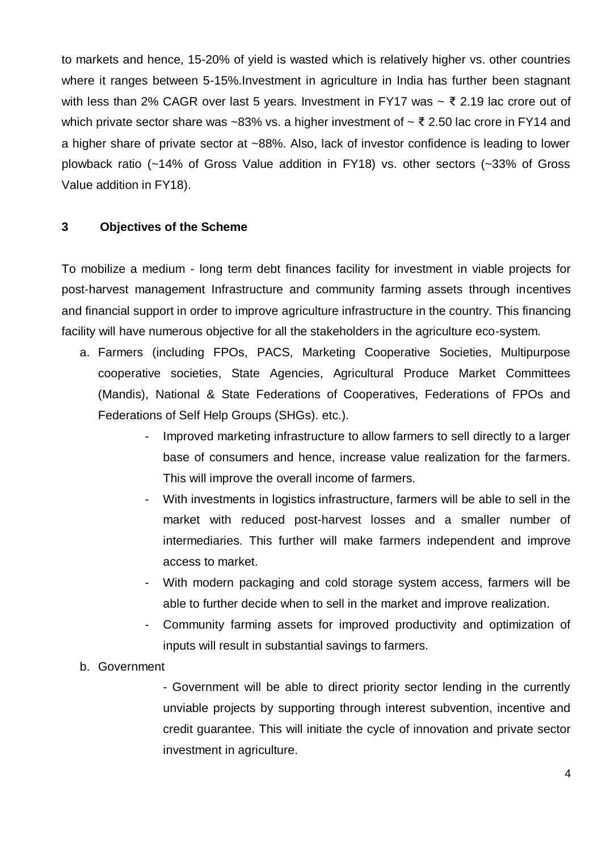to markets and hence, 15-20% of yield is wasted which is relatively higher vs. other countries where it ranges between 5-15%.Investment in agriculture in India has further been stagnant with less than 2% CAGR over last 5 years. Investment in FY17 was  $\sim$  ₹ 2.19 lac crore out of which private sector share was ~83% vs. a higher investment of  $\sim \xi$  2.50 lac crore in FY14 and a higher share of private sector at ~88%. Also, lack of investor confidence is leading to lower plowback ratio (~14% of Gross Value addition in FY18) vs. other sectors (~33% of Gross Value addition in FY18).

#### **3 Objectives of the Scheme**

To mobilize a medium - long term debt finances facility for investment in viable projects for post-harvest management Infrastructure and community farming assets through incentives and financial support in order to improve agriculture infrastructure in the country. This financing facility will have numerous objective for all the stakeholders in the agriculture eco-system.

- a. Farmers (including FPOs, PACS, Marketing Cooperative Societies, Multipurpose cooperative societies, State Agencies, Agricultural Produce Market Committees (Mandis), National & State Federations of Cooperatives, Federations of FPOs and Federations of Self Help Groups (SHGs). etc.).
	- Improved marketing infrastructure to allow farmers to sell directly to a larger base of consumers and hence, increase value realization for the farmers. This will improve the overall income of farmers.
	- With investments in logistics infrastructure, farmers will be able to sell in the market with reduced post-harvest losses and a smaller number of intermediaries. This further will make farmers independent and improve access to market.
	- With modern packaging and cold storage system access, farmers will be able to further decide when to sell in the market and improve realization.
	- Community farming assets for improved productivity and optimization of inputs will result in substantial savings to farmers.

#### b. Government

- Government will be able to direct priority sector lending in the currently unviable projects by supporting through interest subvention, incentive and credit guarantee. This will initiate the cycle of innovation and private sector investment in agriculture.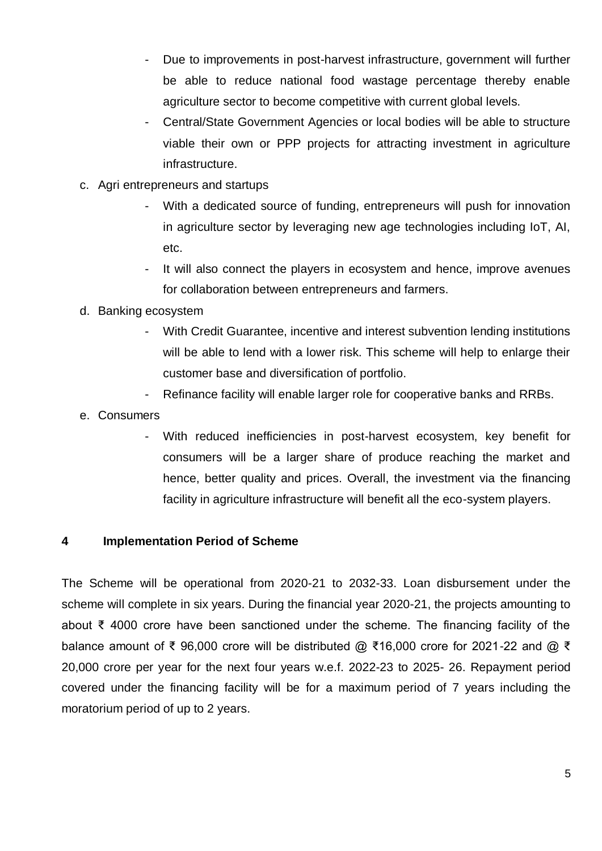- Due to improvements in post-harvest infrastructure, government will further be able to reduce national food wastage percentage thereby enable agriculture sector to become competitive with current global levels.
- Central/State Government Agencies or local bodies will be able to structure viable their own or PPP projects for attracting investment in agriculture infrastructure.
- c. Agri entrepreneurs and startups
	- With a dedicated source of funding, entrepreneurs will push for innovation in agriculture sector by leveraging new age technologies including IoT, AI, etc.
	- It will also connect the players in ecosystem and hence, improve avenues for collaboration between entrepreneurs and farmers.

#### d. Banking ecosystem

- With Credit Guarantee, incentive and interest subvention lending institutions will be able to lend with a lower risk. This scheme will help to enlarge their customer base and diversification of portfolio.
- Refinance facility will enable larger role for cooperative banks and RRBs.
- e. Consumers
	- With reduced inefficiencies in post-harvest ecosystem, key benefit for consumers will be a larger share of produce reaching the market and hence, better quality and prices. Overall, the investment via the financing facility in agriculture infrastructure will benefit all the eco-system players.

#### **4 Implementation Period of Scheme**

The Scheme will be operational from 2020-21 to 2032-33. Loan disbursement under the scheme will complete in six years. During the financial year 2020-21, the projects amounting to about ₹ 4000 crore have been sanctioned under the scheme. The financing facility of the balance amount of ₹ 96,000 crore will be distributed @ ₹16,000 crore for 2021-22 and @ ₹ 20,000 crore per year for the next four years w.e.f. 2022-23 to 2025- 26. Repayment period covered under the financing facility will be for a maximum period of 7 years including the moratorium period of up to 2 years.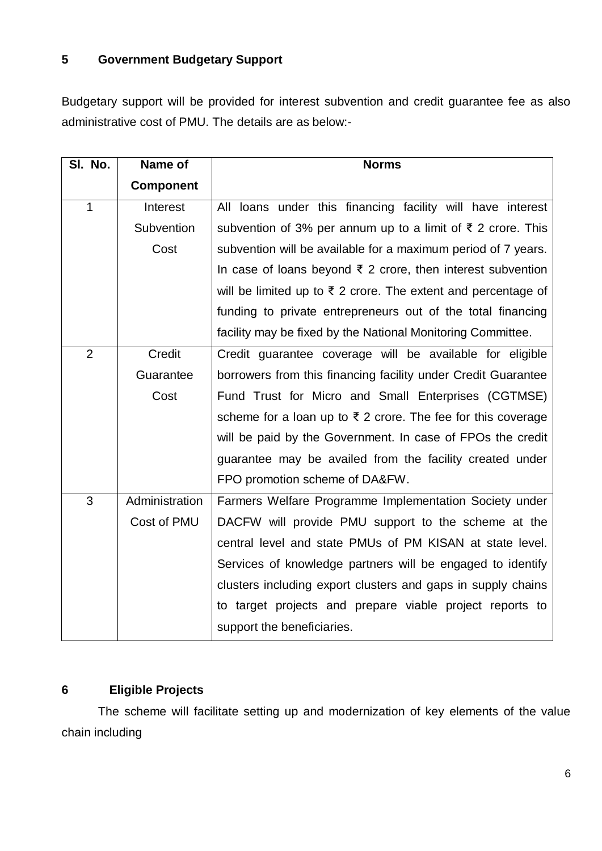### **5 Government Budgetary Support**

Budgetary support will be provided for interest subvention and credit guarantee fee as also administrative cost of PMU. The details are as below:-

| SI. No.        | Name of          | <b>Norms</b>                                                             |
|----------------|------------------|--------------------------------------------------------------------------|
|                | <b>Component</b> |                                                                          |
| $\mathbf{1}$   | Interest         | All loans under this financing facility will have interest               |
|                | Subvention       | subvention of 3% per annum up to a limit of ₹ 2 crore. This              |
|                | Cost             | subvention will be available for a maximum period of 7 years.            |
|                |                  | In case of loans beyond $\bar{\tau}$ 2 crore, then interest subvention   |
|                |                  | will be limited up to $\bar{\tau}$ 2 crore. The extent and percentage of |
|                |                  | funding to private entrepreneurs out of the total financing              |
|                |                  | facility may be fixed by the National Monitoring Committee.              |
| $\overline{2}$ | Credit           | Credit guarantee coverage will be available for eligible                 |
|                | Guarantee        | borrowers from this financing facility under Credit Guarantee            |
|                | Cost             | Fund Trust for Micro and Small Enterprises (CGTMSE)                      |
|                |                  | scheme for a loan up to ₹ 2 crore. The fee for this coverage             |
|                |                  | will be paid by the Government. In case of FPOs the credit               |
|                |                  | guarantee may be availed from the facility created under                 |
|                |                  | FPO promotion scheme of DA&FW.                                           |
| 3              | Administration   | Farmers Welfare Programme Implementation Society under                   |
|                | Cost of PMU      | DACFW will provide PMU support to the scheme at the                      |
|                |                  | central level and state PMUs of PM KISAN at state level.                 |
|                |                  | Services of knowledge partners will be engaged to identify               |
|                |                  | clusters including export clusters and gaps in supply chains             |
|                |                  | to target projects and prepare viable project reports to                 |
|                |                  | support the beneficiaries.                                               |

# **6 Eligible Projects**

The scheme will facilitate setting up and modernization of key elements of the value chain including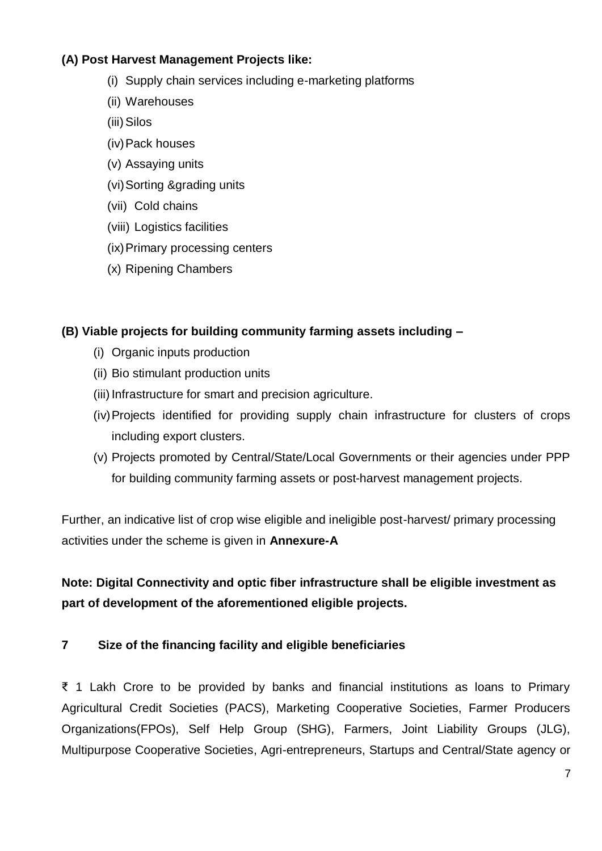### **(A) Post Harvest Management Projects like:**

- (i) Supply chain services including e-marketing platforms
- (ii) Warehouses
- (iii) Silos
- (iv)Pack houses
- (v) Assaying units
- (vi)Sorting &grading units
- (vii) Cold chains
- (viii) Logistics facilities
- (ix)Primary processing centers
- (x) Ripening Chambers

#### **(B) Viable projects for building community farming assets including –**

- (i) Organic inputs production
- (ii) Bio stimulant production units
- (iii) Infrastructure for smart and precision agriculture.
- (iv)Projects identified for providing supply chain infrastructure for clusters of crops including export clusters.
- (v) Projects promoted by Central/State/Local Governments or their agencies under PPP for building community farming assets or post-harvest management projects.

Further, an indicative list of crop wise eligible and ineligible post-harvest/ primary processing activities under the scheme is given in **Annexure-A**

**Note: Digital Connectivity and optic fiber infrastructure shall be eligible investment as part of development of the aforementioned eligible projects.**

#### **7 Size of the financing facility and eligible beneficiaries**

₹ 1 Lakh Crore to be provided by banks and financial institutions as loans to Primary Agricultural Credit Societies (PACS), Marketing Cooperative Societies, Farmer Producers Organizations(FPOs), Self Help Group (SHG), Farmers, Joint Liability Groups (JLG), Multipurpose Cooperative Societies, Agri-entrepreneurs, Startups and Central/State agency or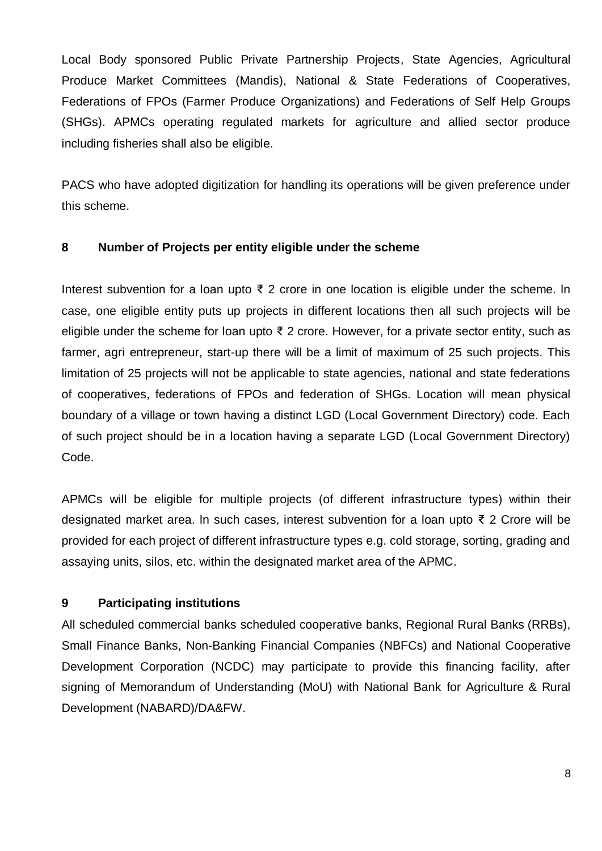Local Body sponsored Public Private Partnership Projects, State Agencies, Agricultural Produce Market Committees (Mandis), National & State Federations of Cooperatives, Federations of FPOs (Farmer Produce Organizations) and Federations of Self Help Groups (SHGs). APMCs operating regulated markets for agriculture and allied sector produce including fisheries shall also be eligible.

PACS who have adopted digitization for handling its operations will be given preference under this scheme.

### **8 Number of Projects per entity eligible under the scheme**

Interest subvention for a loan upto ₹ 2 crore in one location is eligible under the scheme. ln case, one eligible entity puts up projects in different locations then all such projects will be eligible under the scheme for loan upto  $\bar{\xi}$  2 crore. However, for a private sector entity, such as farmer, agri entrepreneur, start-up there will be a limit of maximum of 25 such projects. This limitation of 25 projects will not be applicable to state agencies, national and state federations of cooperatives, federations of FPOs and federation of SHGs. Location will mean physical boundary of a village or town having a distinct LGD (Local Government Directory) code. Each of such project should be in a location having a separate LGD (Local Government Directory) Code.

APMCs will be eligible for multiple projects (of different infrastructure types) within their designated market area. ln such cases, interest subvention for a loan upto ₹ 2 Crore will be provided for each project of different infrastructure types e.g. cold storage, sorting, grading and assaying units, silos, etc. within the designated market area of the APMC.

### **9 Participating institutions**

All scheduled commercial banks scheduled cooperative banks, Regional Rural Banks (RRBs), Small Finance Banks, Non-Banking Financial Companies (NBFCs) and National Cooperative Development Corporation (NCDC) may participate to provide this financing facility, after signing of Memorandum of Understanding (MoU) with National Bank for Agriculture & Rural Development (NABARD)/DA&FW.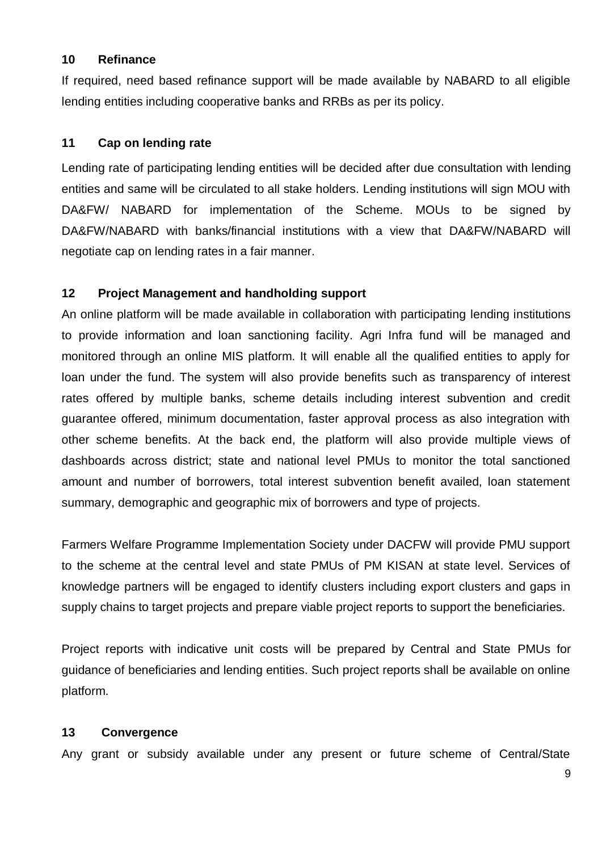#### **10 Refinance**

If required, need based refinance support will be made available by NABARD to all eligible lending entities including cooperative banks and RRBs as per its policy.

#### **11 Cap on lending rate**

Lending rate of participating lending entities will be decided after due consultation with lending entities and same will be circulated to all stake holders. Lending institutions will sign MOU with DA&FW/ NABARD for implementation of the Scheme. MOUs to be signed by DA&FW/NABARD with banks/financial institutions with a view that DA&FW/NABARD will negotiate cap on lending rates in a fair manner.

#### **12 Project Management and handholding support**

An online platform will be made available in collaboration with participating lending institutions to provide information and loan sanctioning facility. Agri Infra fund will be managed and monitored through an online MIS platform. It will enable all the qualified entities to apply for loan under the fund. The system will also provide benefits such as transparency of interest rates offered by multiple banks, scheme details including interest subvention and credit guarantee offered, minimum documentation, faster approval process as also integration with other scheme benefits. At the back end, the platform will also provide multiple views of dashboards across district; state and national level PMUs to monitor the total sanctioned amount and number of borrowers, total interest subvention benefit availed, loan statement summary, demographic and geographic mix of borrowers and type of projects.

Farmers Welfare Programme Implementation Society under DACFW will provide PMU support to the scheme at the central level and state PMUs of PM KISAN at state level. Services of knowledge partners will be engaged to identify clusters including export clusters and gaps in supply chains to target projects and prepare viable project reports to support the beneficiaries.

Project reports with indicative unit costs will be prepared by Central and State PMUs for guidance of beneficiaries and lending entities. Such project reports shall be available on online platform.

#### **13 Convergence**

Any grant or subsidy available under any present or future scheme of Central/State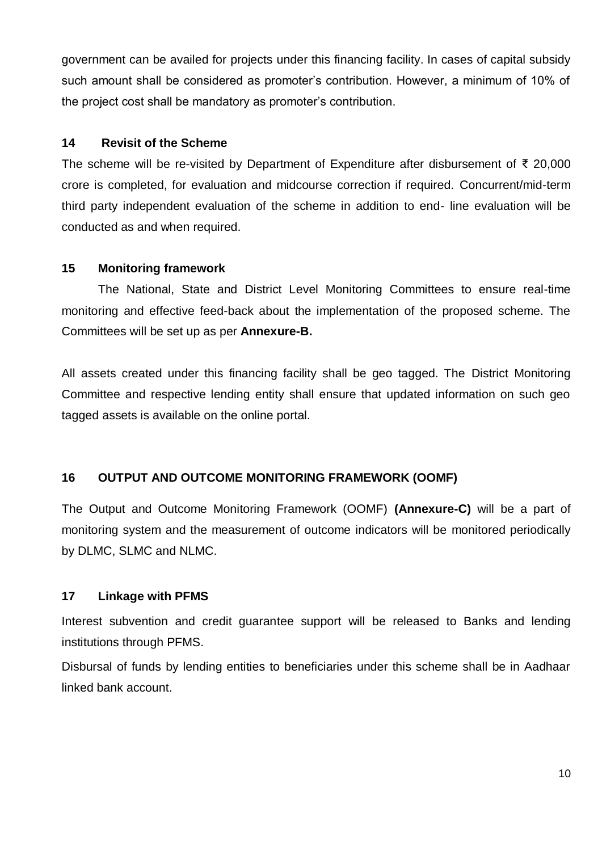government can be availed for projects under this financing facility. In cases of capital subsidy such amount shall be considered as promoter's contribution. However, a minimum of 10% of the project cost shall be mandatory as promoter's contribution.

#### **14 Revisit of the Scheme**

The scheme will be re-visited by Department of Expenditure after disbursement of ₹ 20,000 crore is completed, for evaluation and midcourse correction if required. Concurrent/mid-term third party independent evaluation of the scheme in addition to end- line evaluation will be conducted as and when required.

#### **15 Monitoring framework**

The National, State and District Level Monitoring Committees to ensure real-time monitoring and effective feed-back about the implementation of the proposed scheme. The Committees will be set up as per **Annexure-B.**

All assets created under this financing facility shall be geo tagged. The District Monitoring Committee and respective lending entity shall ensure that updated information on such geo tagged assets is available on the online portal.

### **16 OUTPUT AND OUTCOME MONITORING FRAMEWORK (OOMF)**

The Output and Outcome Monitoring Framework (OOMF) **(Annexure-C)** will be a part of monitoring system and the measurement of outcome indicators will be monitored periodically by DLMC, SLMC and NLMC.

### **17 Linkage with PFMS**

Interest subvention and credit guarantee support will be released to Banks and lending institutions through PFMS.

Disbursal of funds by lending entities to beneficiaries under this scheme shall be in Aadhaar linked bank account.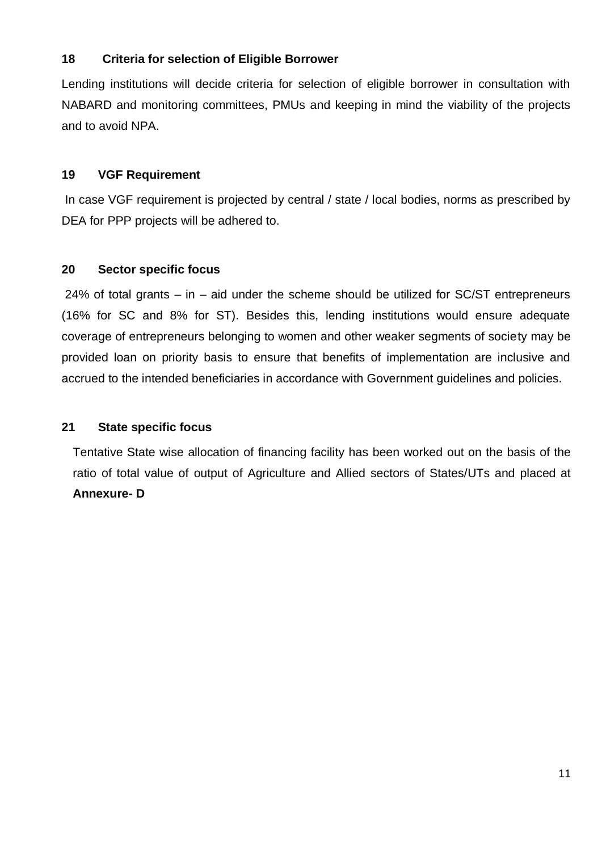### **18 Criteria for selection of Eligible Borrower**

Lending institutions will decide criteria for selection of eligible borrower in consultation with NABARD and monitoring committees, PMUs and keeping in mind the viability of the projects and to avoid NPA.

#### **19 VGF Requirement**

In case VGF requirement is projected by central / state / local bodies, norms as prescribed by DEA for PPP projects will be adhered to.

#### **20 Sector specific focus**

24% of total grants – in – aid under the scheme should be utilized for SC/ST entrepreneurs (16% for SC and 8% for ST). Besides this, lending institutions would ensure adequate coverage of entrepreneurs belonging to women and other weaker segments of society may be provided loan on priority basis to ensure that benefits of implementation are inclusive and accrued to the intended beneficiaries in accordance with Government guidelines and policies.

#### **21 State specific focus**

Tentative State wise allocation of financing facility has been worked out on the basis of the ratio of total value of output of Agriculture and Allied sectors of States/UTs and placed at **Annexure- D**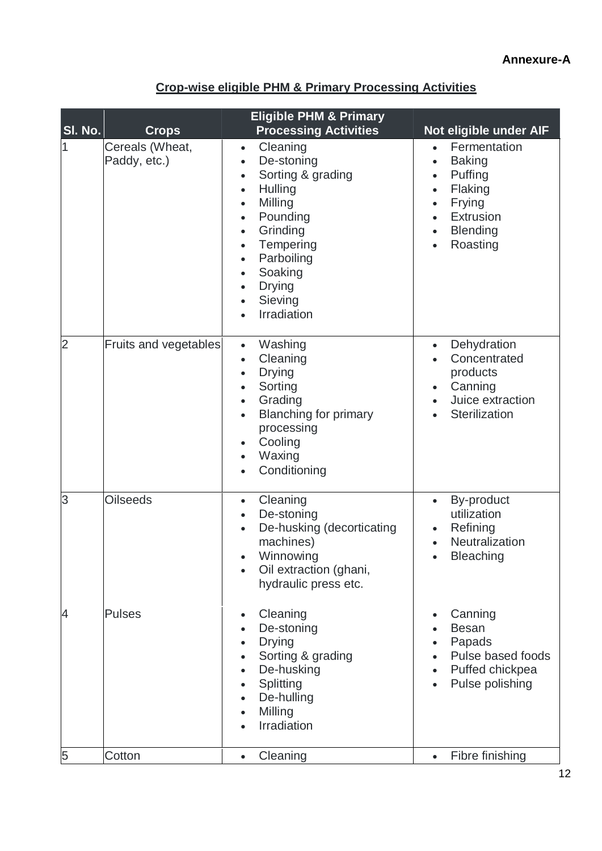### **Annexure-A**

| SI. No.        | <b>Crops</b>                    | <b>Eligible PHM &amp; Primary</b><br><b>Processing Activities</b>                                                                                                                                                                                                                                                                      | Not eligible under AIF                                                                                                                                                                                            |
|----------------|---------------------------------|----------------------------------------------------------------------------------------------------------------------------------------------------------------------------------------------------------------------------------------------------------------------------------------------------------------------------------------|-------------------------------------------------------------------------------------------------------------------------------------------------------------------------------------------------------------------|
|                | Cereals (Wheat,<br>Paddy, etc.) | Cleaning<br>$\bullet$<br>De-stoning<br>$\bullet$<br>Sorting & grading<br>$\bullet$<br>Hulling<br>$\bullet$<br>Milling<br>$\bullet$<br>Pounding<br>$\bullet$<br>Grinding<br>$\bullet$<br>Tempering<br>$\bullet$<br>Parboiling<br>$\bullet$<br>Soaking<br>$\bullet$<br><b>Drying</b><br>$\bullet$<br>Sieving<br>$\bullet$<br>Irradiation | Fermentation<br>$\bullet$<br><b>Baking</b><br>$\bullet$<br>Puffing<br>$\bullet$<br>Flaking<br>$\bullet$<br>Frying<br>$\bullet$<br>Extrusion<br>$\bullet$<br><b>Blending</b><br>$\bullet$<br>Roasting<br>$\bullet$ |
| $\overline{2}$ | Fruits and vegetables           | Washing<br>$\bullet$<br>Cleaning<br>$\bullet$<br><b>Drying</b><br>$\bullet$<br>Sorting<br>$\bullet$<br>Grading<br>$\bullet$<br><b>Blanching for primary</b><br>$\bullet$<br>processing<br>Cooling<br>$\bullet$<br>Waxing<br>$\bullet$<br>Conditioning                                                                                  | Dehydration<br>$\bullet$<br>Concentrated<br>products<br>Canning<br>$\bullet$<br>Juice extraction<br>$\bullet$<br>Sterilization                                                                                    |
| 3              | <b>Oilseeds</b>                 | Cleaning<br>$\bullet$<br>De-stoning<br>$\bullet$<br>De-husking (decorticating<br>$\bullet$<br>machines)<br>Winnowing<br>$\bullet$<br>Oil extraction (ghani,<br>hydraulic press etc.                                                                                                                                                    | By-product<br>$\bullet$<br>utilization<br>Refining<br>$\bullet$<br>Neutralization<br><b>Bleaching</b><br>$\bullet$                                                                                                |
| 4              | <b>Pulses</b>                   | Cleaning<br>$\bullet$<br>De-stoning<br><b>Drying</b><br>$\bullet$<br>Sorting & grading<br>De-husking<br>Splitting<br>De-hulling<br>$\bullet$<br>Milling<br>Irradiation                                                                                                                                                                 | Canning<br>$\bullet$<br><b>Besan</b><br>Papads<br>$\bullet$<br>Pulse based foods<br>Puffed chickpea<br>Pulse polishing                                                                                            |
| 5              | Cotton                          | Cleaning<br>$\bullet$                                                                                                                                                                                                                                                                                                                  | Fibre finishing<br>$\bullet$                                                                                                                                                                                      |

# **Crop-wise eligible PHM & Primary Processing Activities**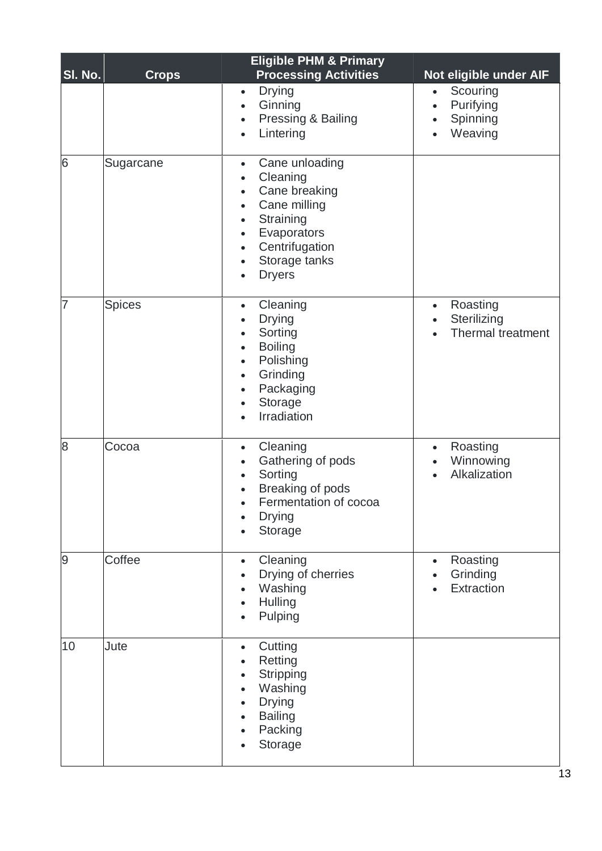| SI. No. | <b>Crops</b>  | <b>Eligible PHM &amp; Primary</b><br><b>Processing Activities</b>                                                                                                                                                                                   | Not eligible under AIF                                                 |
|---------|---------------|-----------------------------------------------------------------------------------------------------------------------------------------------------------------------------------------------------------------------------------------------------|------------------------------------------------------------------------|
|         |               | <b>Drying</b><br>$\bullet$<br>Ginning<br>$\bullet$<br>Pressing & Bailing<br>$\bullet$<br>Lintering<br>$\bullet$                                                                                                                                     | Scouring<br>$\bullet$<br>Purifying<br>$\bullet$<br>Spinning<br>Weaving |
| 6       | Sugarcane     | Cane unloading<br>$\bullet$<br>Cleaning<br>$\bullet$<br>Cane breaking<br>$\bullet$<br>Cane milling<br>$\bullet$<br>Straining<br>$\bullet$<br>Evaporators<br>$\bullet$<br>Centrifugation<br>$\bullet$<br>Storage tanks<br>$\bullet$<br><b>Dryers</b> |                                                                        |
| 7       | <b>Spices</b> | Cleaning<br>$\bullet$<br><b>Drying</b><br>$\bullet$<br>Sorting<br>$\bullet$<br><b>Boiling</b><br>$\bullet$<br>Polishing<br>$\bullet$<br>Grinding<br>$\bullet$<br>Packaging<br>$\bullet$<br>Storage<br>$\bullet$<br>Irradiation                      | Roasting<br>$\bullet$<br>Sterilizing<br>$\bullet$<br>Thermal treatment |
| 8       | Cocoa         | Cleaning<br>$\bullet$<br>Gathering of pods<br>$\bullet$<br>Sorting<br>$\bullet$<br>Breaking of pods<br>$\bullet$<br>Fermentation of cocoa<br><b>Drying</b><br>Storage                                                                               | Roasting<br>$\bullet$<br>Winnowing<br>Alkalization                     |
| 9       | Coffee        | Cleaning<br>$\bullet$<br>Drying of cherries<br>Washing<br>$\bullet$<br>Hulling<br>$\bullet$<br>Pulping                                                                                                                                              | Roasting<br>$\bullet$<br>Grinding<br>Extraction                        |
| 10      | Jute          | Cutting<br>$\bullet$<br>Retting<br>Stripping<br>$\bullet$<br>Washing<br>$\bullet$<br><b>Drying</b><br><b>Bailing</b><br>Packing<br>Storage                                                                                                          |                                                                        |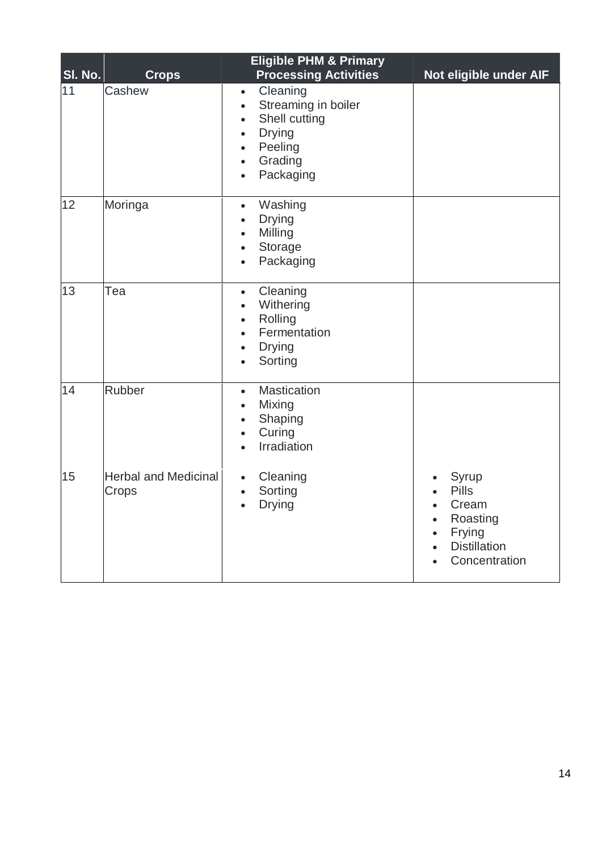| SI. No. | <b>Crops</b>                         | <b>Eligible PHM &amp; Primary</b><br><b>Processing Activities</b>                                                                                                                               | Not eligible under AIF                                                                                                                                                     |
|---------|--------------------------------------|-------------------------------------------------------------------------------------------------------------------------------------------------------------------------------------------------|----------------------------------------------------------------------------------------------------------------------------------------------------------------------------|
| 11      | Cashew                               | Cleaning<br>$\bullet$<br>Streaming in boiler<br>$\bullet$<br>Shell cutting<br>$\bullet$<br><b>Drying</b><br>$\bullet$<br>Peeling<br>$\bullet$<br>Grading<br>$\bullet$<br>Packaging<br>$\bullet$ |                                                                                                                                                                            |
| 12      | Moringa                              | Washing<br>$\bullet$<br><b>Drying</b><br>$\bullet$<br>Milling<br>$\bullet$<br>Storage<br>$\bullet$<br>Packaging<br>$\bullet$                                                                    |                                                                                                                                                                            |
| 13      | Tea                                  | Cleaning<br>$\bullet$<br>Withering<br>$\bullet$<br>Rolling<br>$\bullet$<br>Fermentation<br>$\bullet$<br><b>Drying</b><br>$\bullet$<br>Sorting<br>$\bullet$                                      |                                                                                                                                                                            |
| 14      | <b>Rubber</b>                        | <b>Mastication</b><br>$\bullet$<br>Mixing<br>$\bullet$<br>Shaping<br>$\bullet$<br>Curing<br>$\bullet$<br>Irradiation                                                                            |                                                                                                                                                                            |
| 15      | <b>Herbal and Medicinal</b><br>Crops | Cleaning<br>$\bullet$<br>Sorting<br>$\bullet$<br><b>Drying</b><br>$\bullet$                                                                                                                     | Syrup<br>$\bullet$<br><b>Pills</b><br>$\bullet$<br>Cream<br>$\bullet$<br>Roasting<br>$\bullet$<br>Frying<br>$\bullet$<br><b>Distillation</b><br>$\bullet$<br>Concentration |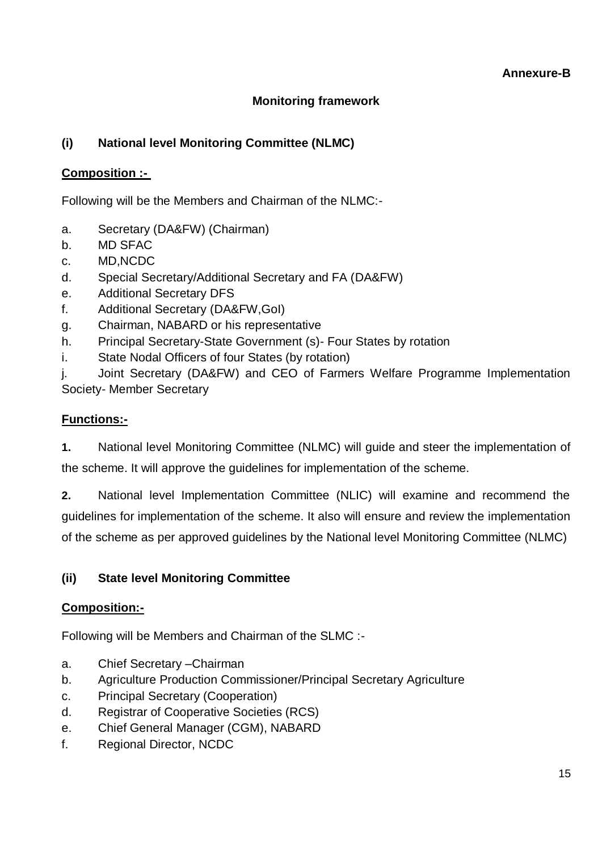# **Monitoring framework**

# **(i) National level Monitoring Committee (NLMC)**

### **Composition :-**

Following will be the Members and Chairman of the NLMC:-

- a. Secretary (DA&FW) (Chairman)
- b. MD SFAC
- c. MD,NCDC
- d. Special Secretary/Additional Secretary and FA (DA&FW)
- e. Additional Secretary DFS
- f. Additional Secretary (DA&FW,GoI)
- g. Chairman, NABARD or his representative
- h. Principal Secretary-State Government (s)- Four States by rotation
- i. State Nodal Officers of four States (by rotation)

j. Joint Secretary (DA&FW) and CEO of Farmers Welfare Programme Implementation Society- Member Secretary

### **Functions:-**

**1.** National level Monitoring Committee (NLMC) will guide and steer the implementation of the scheme. It will approve the guidelines for implementation of the scheme.

**2.** National level Implementation Committee (NLIC) will examine and recommend the guidelines for implementation of the scheme. It also will ensure and review the implementation of the scheme as per approved guidelines by the National level Monitoring Committee (NLMC)

### **(ii) State level Monitoring Committee**

### **Composition:-**

Following will be Members and Chairman of the SLMC :-

- a. Chief Secretary –Chairman
- b. Agriculture Production Commissioner/Principal Secretary Agriculture
- c. Principal Secretary (Cooperation)
- d. Registrar of Cooperative Societies (RCS)
- e. Chief General Manager (CGM), NABARD
- f. Regional Director, NCDC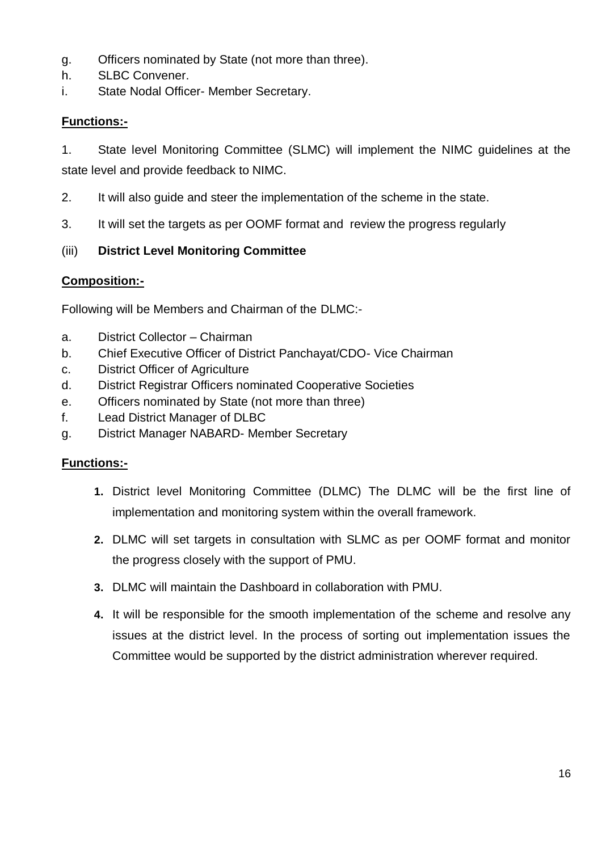- g. Officers nominated by State (not more than three).
- h. SLBC Convener.
- i. State Nodal Officer- Member Secretary.

### **Functions:-**

1. State level Monitoring Committee (SLMC) will implement the NIMC guidelines at the state level and provide feedback to NIMC.

- 2. It will also guide and steer the implementation of the scheme in the state.
- 3. It will set the targets as per OOMF format and review the progress regularly

### (iii) **District Level Monitoring Committee**

### **Composition:-**

Following will be Members and Chairman of the DLMC:-

- a. District Collector Chairman
- b. Chief Executive Officer of District Panchayat/CDO- Vice Chairman
- c. District Officer of Agriculture
- d. District Registrar Officers nominated Cooperative Societies
- e. Officers nominated by State (not more than three)
- f. Lead District Manager of DLBC
- g. District Manager NABARD- Member Secretary

### **Functions:-**

- **1.** District level Monitoring Committee (DLMC) The DLMC will be the first line of implementation and monitoring system within the overall framework.
- **2.** DLMC will set targets in consultation with SLMC as per OOMF format and monitor the progress closely with the support of PMU.
- **3.** DLMC will maintain the Dashboard in collaboration with PMU.
- **4.** It will be responsible for the smooth implementation of the scheme and resolve any issues at the district level. In the process of sorting out implementation issues the Committee would be supported by the district administration wherever required.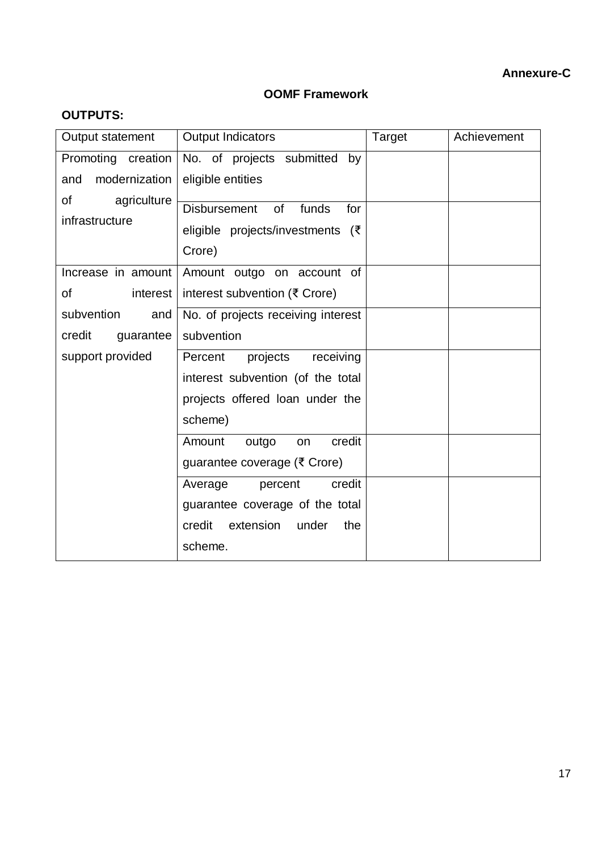# **OOMF Framework**

| <b>OUTPUTS:</b> |
|-----------------|
|-----------------|

| Output statement                    | <b>Output Indicators</b>                                                                | Target | Achievement |
|-------------------------------------|-----------------------------------------------------------------------------------------|--------|-------------|
| Promoting creation                  | No. of projects submitted<br>by                                                         |        |             |
| modernization<br>and                | eligible entities                                                                       |        |             |
| agriculture<br>of<br>infrastructure | <b>Disbursement</b><br>of<br>funds<br>for<br>eligible projects/investments (₹<br>Crore) |        |             |
| Increase in amount                  | Amount outgo on account of                                                              |        |             |
| οf<br>interest                      | interest subvention (₹ Crore)                                                           |        |             |
| subvention<br>and                   | No. of projects receiving interest                                                      |        |             |
| credit<br>guarantee                 | subvention                                                                              |        |             |
| support provided                    | Percent<br>projects<br>receiving                                                        |        |             |
|                                     | interest subvention (of the total                                                       |        |             |
|                                     | projects offered loan under the                                                         |        |             |
|                                     | scheme)                                                                                 |        |             |
|                                     | Amount<br>credit<br>outgo<br>on                                                         |        |             |
|                                     | guarantee coverage (₹ Crore)                                                            |        |             |
|                                     | credit<br>Average<br>percent                                                            |        |             |
|                                     | guarantee coverage of the total                                                         |        |             |
|                                     | credit<br>extension<br>under<br>the                                                     |        |             |
|                                     | scheme.                                                                                 |        |             |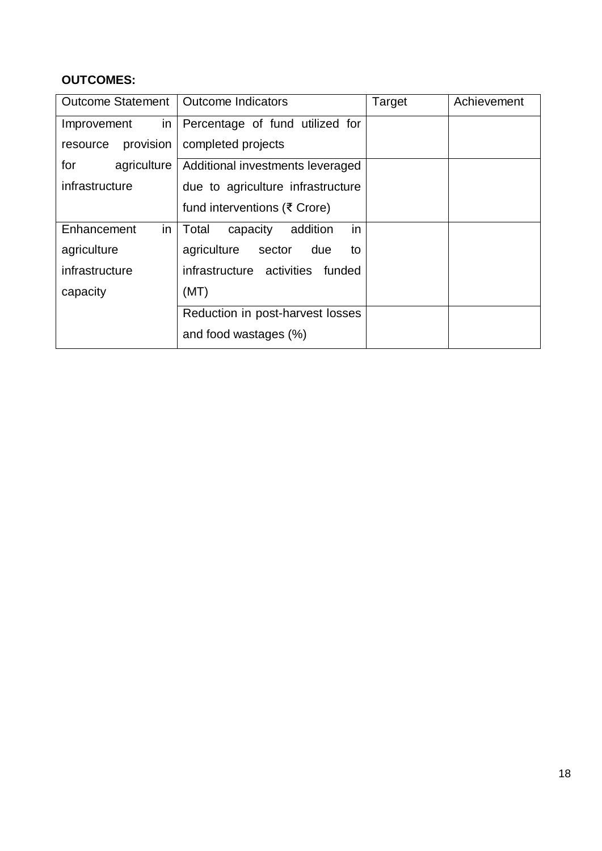# **OUTCOMES:**

| Outcome Statement   Outcome Indicators |                                     | Target | Achievement |
|----------------------------------------|-------------------------------------|--------|-------------|
| in<br>Improvement                      | Percentage of fund utilized for     |        |             |
| provision<br>resource                  | completed projects                  |        |             |
| for<br>agriculture                     | Additional investments leveraged    |        |             |
| infrastructure                         | due to agriculture infrastructure   |        |             |
|                                        | fund interventions (₹ Crore)        |        |             |
| Enhancement<br>in                      | Total<br>capacity<br>addition<br>in |        |             |
| agriculture                            | agriculture sector<br>due<br>to     |        |             |
| infrastructure                         | infrastructure activities funded    |        |             |
| capacity                               | (MT)                                |        |             |
|                                        | Reduction in post-harvest losses    |        |             |
|                                        | and food wastages (%)               |        |             |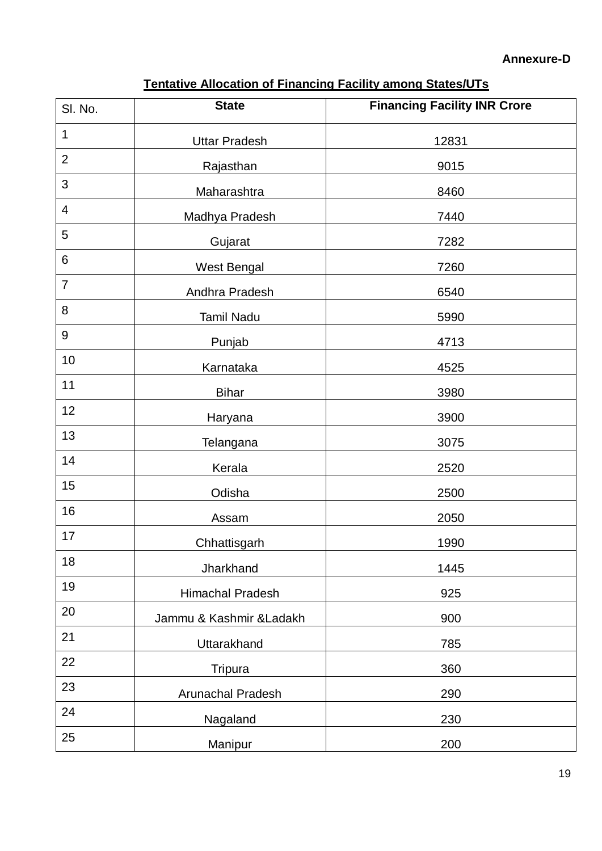# **Tentative Allocation of Financing Facility among States/UTs**

| SI. No.        | <b>State</b>             | <b>Financing Facility INR Crore</b> |
|----------------|--------------------------|-------------------------------------|
| 1              | <b>Uttar Pradesh</b>     | 12831                               |
| $\overline{2}$ | Rajasthan                | 9015                                |
| 3              | Maharashtra              | 8460                                |
| $\overline{4}$ | Madhya Pradesh           | 7440                                |
| 5              | Gujarat                  | 7282                                |
| 6              | West Bengal              | 7260                                |
| $\overline{7}$ | Andhra Pradesh           | 6540                                |
| 8              | <b>Tamil Nadu</b>        | 5990                                |
| 9              | Punjab                   | 4713                                |
| 10             | Karnataka                | 4525                                |
| 11             | <b>Bihar</b>             | 3980                                |
| 12             | Haryana                  | 3900                                |
| 13             | <b>Telangana</b>         | 3075                                |
| 14             | Kerala                   | 2520                                |
| 15             | Odisha                   | 2500                                |
| 16             | Assam                    | 2050                                |
| 17             | Chhattisgarh             | 1990                                |
| 18             | Jharkhand                | 1445                                |
| 19             | <b>Himachal Pradesh</b>  | 925                                 |
| 20             | Jammu & Kashmir & Ladakh | 900                                 |
| 21             | Uttarakhand              | 785                                 |
| 22             | Tripura                  | 360                                 |
| 23             | Arunachal Pradesh        | 290                                 |
| 24             | Nagaland                 | 230                                 |
| 25             | Manipur                  | 200                                 |